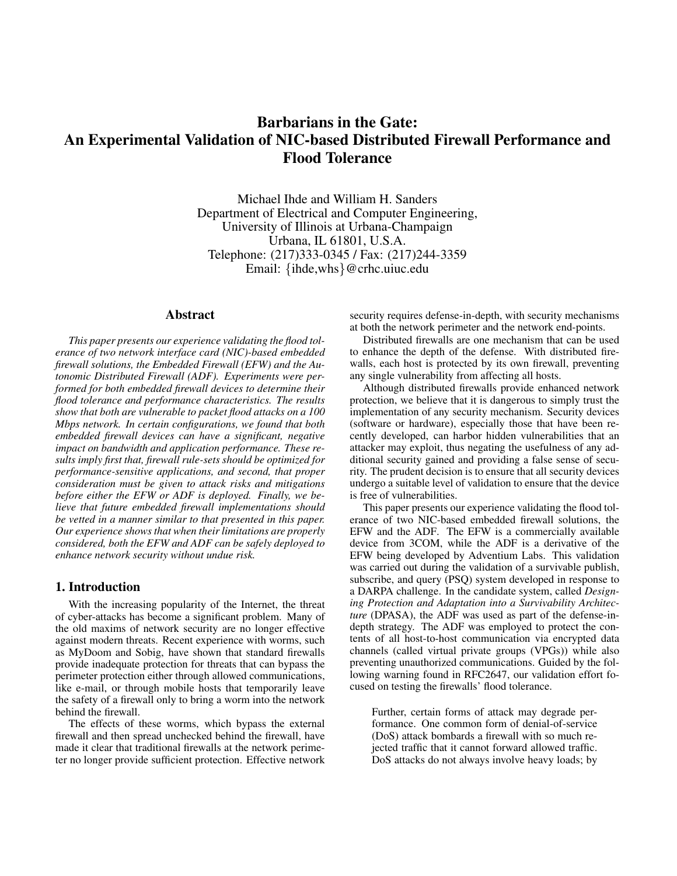# **Barbarians in the Gate: An Experimental Validation of NIC-based Distributed Firewall Performance and Flood Tolerance**

Michael Ihde and William H. Sanders Department of Electrical and Computer Engineering, University of Illinois at Urbana-Champaign Urbana, IL 61801, U.S.A. Telephone: (217)333-0345 / Fax: (217)244-3359 Email: {ihde,whs}@crhc.uiuc.edu

## **Abstract**

*This paper presents our experience validating the flood tolerance of two network interface card (NIC)-based embedded firewall solutions, the Embedded Firewall (EFW) and the Autonomic Distributed Firewall (ADF). Experiments were performed for both embedded firewall devices to determine their flood tolerance and performance characteristics. The results show that both are vulnerable to packet flood attacks on a 100 Mbps network. In certain configurations, we found that both embedded firewall devices can have a significant, negative impact on bandwidth and application performance. These results imply first that, firewall rule-sets should be optimized for performance-sensitive applications, and second, that proper consideration must be given to attack risks and mitigations before either the EFW or ADF is deployed. Finally, we believe that future embedded firewall implementations should be vetted in a manner similar to that presented in this paper. Our experience shows that when their limitations are properly considered, both the EFW and ADF can be safely deployed to enhance network security without undue risk.*

# **1. Introduction**

With the increasing popularity of the Internet, the threat of cyber-attacks has become a significant problem. Many of the old maxims of network security are no longer effective against modern threats. Recent experience with worms, such as MyDoom and Sobig, have shown that standard firewalls provide inadequate protection for threats that can bypass the perimeter protection either through allowed communications, like e-mail, or through mobile hosts that temporarily leave the safety of a firewall only to bring a worm into the network behind the firewall.

The effects of these worms, which bypass the external firewall and then spread unchecked behind the firewall, have made it clear that traditional firewalls at the network perimeter no longer provide sufficient protection. Effective network

security requires defense-in-depth, with security mechanisms at both the network perimeter and the network end-points.

Distributed firewalls are one mechanism that can be used to enhance the depth of the defense. With distributed firewalls, each host is protected by its own firewall, preventing any single vulnerability from affecting all hosts.

Although distributed firewalls provide enhanced network protection, we believe that it is dangerous to simply trust the implementation of any security mechanism. Security devices (software or hardware), especially those that have been recently developed, can harbor hidden vulnerabilities that an attacker may exploit, thus negating the usefulness of any additional security gained and providing a false sense of security. The prudent decision is to ensure that all security devices undergo a suitable level of validation to ensure that the device is free of vulnerabilities.

This paper presents our experience validating the flood tolerance of two NIC-based embedded firewall solutions, the EFW and the ADF. The EFW is a commercially available device from 3COM, while the ADF is a derivative of the EFW being developed by Adventium Labs. This validation was carried out during the validation of a survivable publish, subscribe, and query (PSQ) system developed in response to a DARPA challenge. In the candidate system, called *Designing Protection and Adaptation into a Survivability Architecture* (DPASA), the ADF was used as part of the defense-indepth strategy. The ADF was employed to protect the contents of all host-to-host communication via encrypted data channels (called virtual private groups (VPGs)) while also preventing unauthorized communications. Guided by the following warning found in RFC2647, our validation effort focused on testing the firewalls' flood tolerance.

Further, certain forms of attack may degrade performance. One common form of denial-of-service (DoS) attack bombards a firewall with so much rejected traffic that it cannot forward allowed traffic. DoS attacks do not always involve heavy loads; by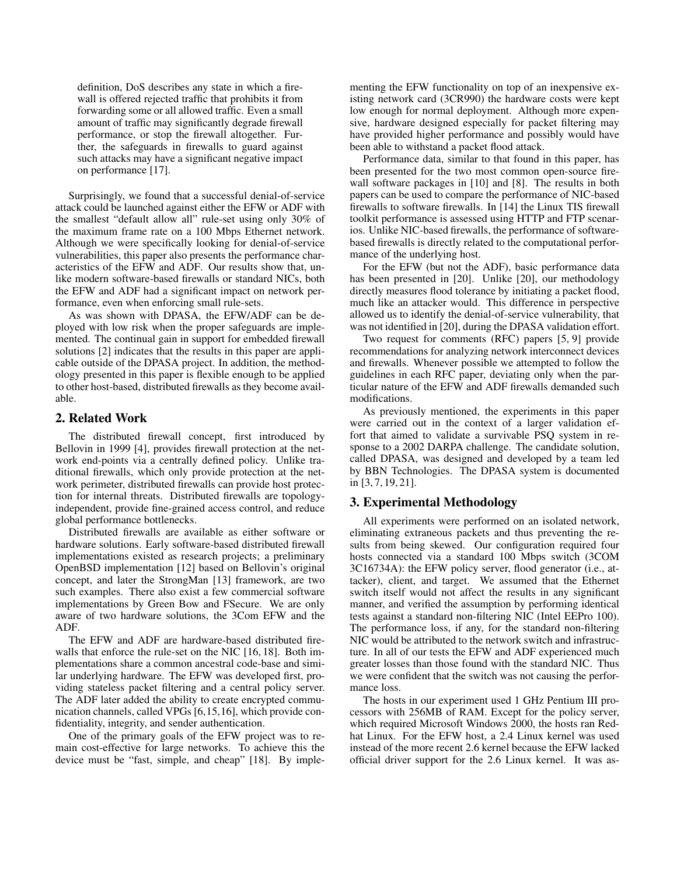definition, DoS describes any state in which a firewall is offered rejected traffic that prohibits it from forwarding some or all allowed traffic. Even a small amount of traffic may significantly degrade firewall performance, or stop the firewall altogether. Further, the safeguards in firewalls to guard against such attacks may have a significant negative impact on performance [17].

Surprisingly, we found that a successful denial-of-service attack could be launched against either the EFW or ADF with the smallest "default allow all" rule-set using only 30% of the maximum frame rate on a 100 Mbps Ethernet network. Although we were specifically looking for denial-of-service vulnerabilities, this paper also presents the performance characteristics of the EFW and ADF. Our results show that, unlike modern software-based firewalls or standard NICs, both the EFW and ADF had a significant impact on network performance, even when enforcing small rule-sets.

As was shown with DPASA, the EFW/ADF can be deployed with low risk when the proper safeguards are implemented. The continual gain in support for embedded firewall solutions [2] indicates that the results in this paper are applicable outside of the DPASA project. In addition, the methodology presented in this paper is flexible enough to be applied to other host-based, distributed firewalls as they become available.

# **2. Related Work**

The distributed firewall concept, first introduced by Bellovin in 1999 [4], provides firewall protection at the network end-points via a centrally defined policy. Unlike traditional firewalls, which only provide protection at the network perimeter, distributed firewalls can provide host protection for internal threats. Distributed firewalls are topologyindependent, provide fine-grained access control, and reduce global performance bottlenecks.

Distributed firewalls are available as either software or hardware solutions. Early software-based distributed firewall implementations existed as research projects; a preliminary OpenBSD implementation [12] based on Bellovin's original concept, and later the StrongMan [13] framework, are two such examples. There also exist a few commercial software implementations by Green Bow and FSecure. We are only aware of two hardware solutions, the 3Com EFW and the ADF.

The EFW and ADF are hardware-based distributed firewalls that enforce the rule-set on the NIC [16, 18]. Both implementations share a common ancestral code-base and similar underlying hardware. The EFW was developed first, providing stateless packet filtering and a central policy server. The ADF later added the ability to create encrypted communication channels, called VPGs [6,15,16], which provide confidentiality, integrity, and sender authentication.

One of the primary goals of the EFW project was to remain cost-effective for large networks. To achieve this the device must be "fast, simple, and cheap" [18]. By implementing the EFW functionality on top of an inexpensive existing network card (3CR990) the hardware costs were kept low enough for normal deployment. Although more expensive, hardware designed especially for packet filtering may have provided higher performance and possibly would have been able to withstand a packet flood attack.

Performance data, similar to that found in this paper, has been presented for the two most common open-source firewall software packages in [10] and [8]. The results in both papers can be used to compare the performance of NIC-based firewalls to software firewalls. In [14] the Linux TIS firewall toolkit performance is assessed using HTTP and FTP scenarios. Unlike NIC-based firewalls, the performance of softwarebased firewalls is directly related to the computational performance of the underlying host.

For the EFW (but not the ADF), basic performance data has been presented in [20]. Unlike [20], our methodology directly measures flood tolerance by initiating a packet flood, much like an attacker would. This difference in perspective allowed us to identify the denial-of-service vulnerability, that was not identified in [20], during the DPASA validation effort.

Two request for comments (RFC) papers [5, 9] provide recommendations for analyzing network interconnect devices and firewalls. Whenever possible we attempted to follow the guidelines in each RFC paper, deviating only when the particular nature of the EFW and ADF firewalls demanded such modifications.

As previously mentioned, the experiments in this paper were carried out in the context of a larger validation effort that aimed to validate a survivable PSQ system in response to a 2002 DARPA challenge. The candidate solution, called DPASA, was designed and developed by a team led by BBN Technologies. The DPASA system is documented in [3, 7, 19, 21].

# **3. Experimental Methodology**

All experiments were performed on an isolated network, eliminating extraneous packets and thus preventing the results from being skewed. Our configuration required four hosts connected via a standard 100 Mbps switch (3COM 3C16734A): the EFW policy server, flood generator (i.e., attacker), client, and target. We assumed that the Ethernet switch itself would not affect the results in any significant manner, and verified the assumption by performing identical tests against a standard non-filtering NIC (Intel EEPro 100). The performance loss, if any, for the standard non-filtering NIC would be attributed to the network switch and infrastructure. In all of our tests the EFW and ADF experienced much greater losses than those found with the standard NIC. Thus we were confident that the switch was not causing the performance loss.

The hosts in our experiment used 1 GHz Pentium III processors with 256MB of RAM. Except for the policy server, which required Microsoft Windows 2000, the hosts ran Redhat Linux. For the EFW host, a 2.4 Linux kernel was used instead of the more recent 2.6 kernel because the EFW lacked official driver support for the 2.6 Linux kernel. It was as-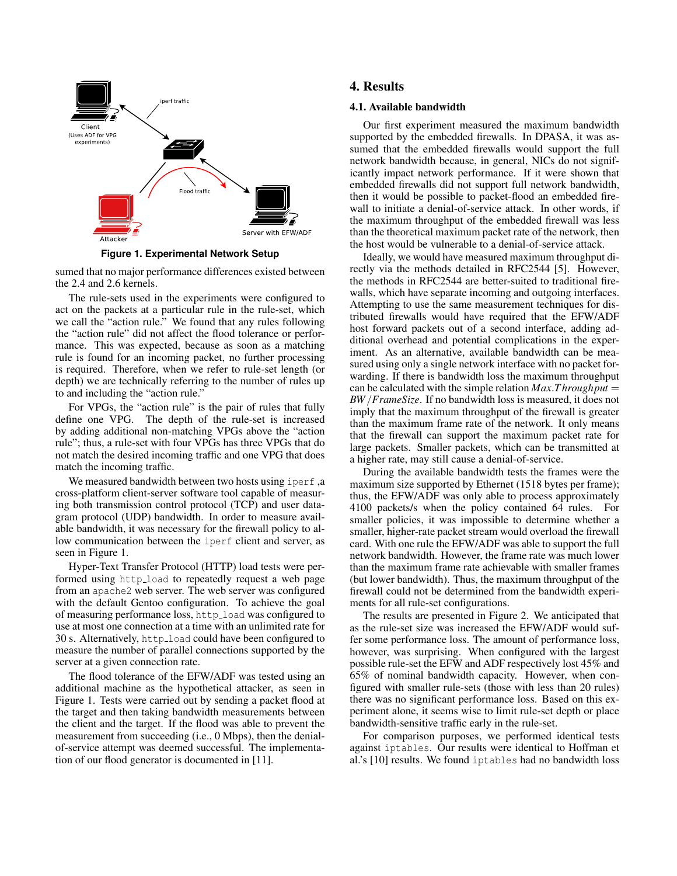

**Figure 1. Experimental Network Setup**

sumed that no major performance differences existed between the 2.4 and 2.6 kernels.

The rule-sets used in the experiments were configured to act on the packets at a particular rule in the rule-set, which we call the "action rule." We found that any rules following the "action rule" did not affect the flood tolerance or performance. This was expected, because as soon as a matching rule is found for an incoming packet, no further processing is required. Therefore, when we refer to rule-set length (or depth) we are technically referring to the number of rules up to and including the "action rule."

For VPGs, the "action rule" is the pair of rules that fully define one VPG. The depth of the rule-set is increased by adding additional non-matching VPGs above the "action rule"; thus, a rule-set with four VPGs has three VPGs that do not match the desired incoming traffic and one VPG that does match the incoming traffic.

We measured bandwidth between two hosts using iperf, a cross-platform client-server software tool capable of measuring both transmission control protocol (TCP) and user datagram protocol (UDP) bandwidth. In order to measure available bandwidth, it was necessary for the firewall policy to allow communication between the iperf client and server, as seen in Figure 1.

Hyper-Text Transfer Protocol (HTTP) load tests were performed using http load to repeatedly request a web page from an apache2 web server. The web server was configured with the default Gentoo configuration. To achieve the goal of measuring performance loss, http load was configured to use at most one connection at a time with an unlimited rate for 30 s. Alternatively, http load could have been configured to measure the number of parallel connections supported by the server at a given connection rate.

The flood tolerance of the EFW/ADF was tested using an additional machine as the hypothetical attacker, as seen in Figure 1. Tests were carried out by sending a packet flood at the target and then taking bandwidth measurements between the client and the target. If the flood was able to prevent the measurement from succeeding (i.e., 0 Mbps), then the denialof-service attempt was deemed successful. The implementation of our flood generator is documented in [11].

# **4. Results**

#### **4.1. Available bandwidth**

Our first experiment measured the maximum bandwidth supported by the embedded firewalls. In DPASA, it was assumed that the embedded firewalls would support the full network bandwidth because, in general, NICs do not significantly impact network performance. If it were shown that embedded firewalls did not support full network bandwidth, then it would be possible to packet-flood an embedded firewall to initiate a denial-of-service attack. In other words, if the maximum throughput of the embedded firewall was less than the theoretical maximum packet rate of the network, then the host would be vulnerable to a denial-of-service attack.

Ideally, we would have measured maximum throughput directly via the methods detailed in RFC2544 [5]. However, the methods in RFC2544 are better-suited to traditional firewalls, which have separate incoming and outgoing interfaces. Attempting to use the same measurement techniques for distributed firewalls would have required that the EFW/ADF host forward packets out of a second interface, adding additional overhead and potential complications in the experiment. As an alternative, available bandwidth can be measured using only a single network interface with no packet forwarding. If there is bandwidth loss the maximum throughput can be calculated with the simple relation  $Max. Throught =$ *BW*/*FrameSize*. If no bandwidth loss is measured, it does not imply that the maximum throughput of the firewall is greater than the maximum frame rate of the network. It only means that the firewall can support the maximum packet rate for large packets. Smaller packets, which can be transmitted at a higher rate, may still cause a denial-of-service.

During the available bandwidth tests the frames were the maximum size supported by Ethernet (1518 bytes per frame); thus, the EFW/ADF was only able to process approximately 4100 packets/s when the policy contained 64 rules. For smaller policies, it was impossible to determine whether a smaller, higher-rate packet stream would overload the firewall card. With one rule the EFW/ADF was able to support the full network bandwidth. However, the frame rate was much lower than the maximum frame rate achievable with smaller frames (but lower bandwidth). Thus, the maximum throughput of the firewall could not be determined from the bandwidth experiments for all rule-set configurations.

The results are presented in Figure 2. We anticipated that as the rule-set size was increased the EFW/ADF would suffer some performance loss. The amount of performance loss, however, was surprising. When configured with the largest possible rule-set the EFW and ADF respectively lost 45% and 65% of nominal bandwidth capacity. However, when configured with smaller rule-sets (those with less than 20 rules) there was no significant performance loss. Based on this experiment alone, it seems wise to limit rule-set depth or place bandwidth-sensitive traffic early in the rule-set.

For comparison purposes, we performed identical tests against iptables. Our results were identical to Hoffman et al.'s [10] results. We found iptables had no bandwidth loss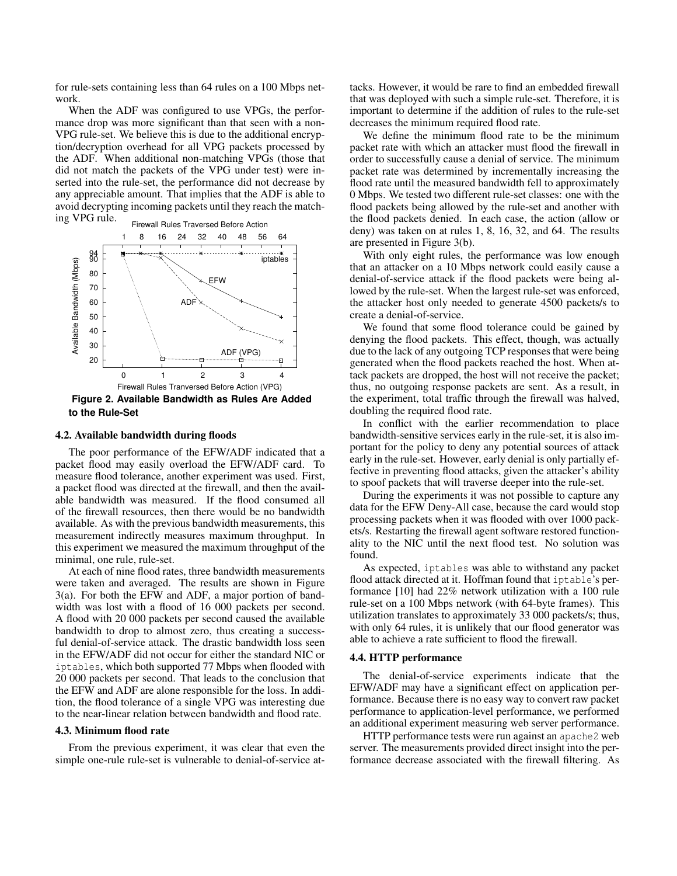for rule-sets containing less than 64 rules on a 100 Mbps network.

When the ADF was configured to use VPGs, the performance drop was more significant than that seen with a non-VPG rule-set. We believe this is due to the additional encryption/decryption overhead for all VPG packets processed by the ADF. When additional non-matching VPGs (those that did not match the packets of the VPG under test) were inserted into the rule-set, the performance did not decrease by any appreciable amount. That implies that the ADF is able to avoid decrypting incoming packets until they reach the matching VPG rule.



**to the Rule-Set**

# **4.2. Available bandwidth during floods**

The poor performance of the EFW/ADF indicated that a packet flood may easily overload the EFW/ADF card. To measure flood tolerance, another experiment was used. First, a packet flood was directed at the firewall, and then the available bandwidth was measured. If the flood consumed all of the firewall resources, then there would be no bandwidth available. As with the previous bandwidth measurements, this measurement indirectly measures maximum throughput. In this experiment we measured the maximum throughput of the minimal, one rule, rule-set.

At each of nine flood rates, three bandwidth measurements were taken and averaged. The results are shown in Figure 3(a). For both the EFW and ADF, a major portion of bandwidth was lost with a flood of 16 000 packets per second. A flood with 20 000 packets per second caused the available bandwidth to drop to almost zero, thus creating a successful denial-of-service attack. The drastic bandwidth loss seen in the EFW/ADF did not occur for either the standard NIC or iptables, which both supported 77 Mbps when flooded with 20 000 packets per second. That leads to the conclusion that the EFW and ADF are alone responsible for the loss. In addition, the flood tolerance of a single VPG was interesting due to the near-linear relation between bandwidth and flood rate.

### **4.3. Minimum flood rate**

From the previous experiment, it was clear that even the simple one-rule rule-set is vulnerable to denial-of-service attacks. However, it would be rare to find an embedded firewall that was deployed with such a simple rule-set. Therefore, it is important to determine if the addition of rules to the rule-set decreases the minimum required flood rate.

We define the minimum flood rate to be the minimum packet rate with which an attacker must flood the firewall in order to successfully cause a denial of service. The minimum packet rate was determined by incrementally increasing the flood rate until the measured bandwidth fell to approximately 0 Mbps. We tested two different rule-set classes: one with the flood packets being allowed by the rule-set and another with the flood packets denied. In each case, the action (allow or deny) was taken on at rules 1, 8, 16, 32, and 64. The results are presented in Figure 3(b).

With only eight rules, the performance was low enough that an attacker on a 10 Mbps network could easily cause a denial-of-service attack if the flood packets were being allowed by the rule-set. When the largest rule-set was enforced, the attacker host only needed to generate 4500 packets/s to create a denial-of-service.

We found that some flood tolerance could be gained by denying the flood packets. This effect, though, was actually due to the lack of any outgoing TCP responses that were being generated when the flood packets reached the host. When attack packets are dropped, the host will not receive the packet; thus, no outgoing response packets are sent. As a result, in the experiment, total traffic through the firewall was halved, doubling the required flood rate.

In conflict with the earlier recommendation to place bandwidth-sensitive services early in the rule-set, it is also important for the policy to deny any potential sources of attack early in the rule-set. However, early denial is only partially effective in preventing flood attacks, given the attacker's ability to spoof packets that will traverse deeper into the rule-set.

During the experiments it was not possible to capture any data for the EFW Deny-All case, because the card would stop processing packets when it was flooded with over 1000 packets/s. Restarting the firewall agent software restored functionality to the NIC until the next flood test. No solution was found.

As expected, iptables was able to withstand any packet flood attack directed at it. Hoffman found that iptable's performance [10] had 22% network utilization with a 100 rule rule-set on a 100 Mbps network (with 64-byte frames). This utilization translates to approximately 33 000 packets/s; thus, with only 64 rules, it is unlikely that our flood generator was able to achieve a rate sufficient to flood the firewall.

#### **4.4. HTTP performance**

The denial-of-service experiments indicate that the EFW/ADF may have a significant effect on application performance. Because there is no easy way to convert raw packet performance to application-level performance, we performed an additional experiment measuring web server performance.

HTTP performance tests were run against an apache2 web server. The measurements provided direct insight into the performance decrease associated with the firewall filtering. As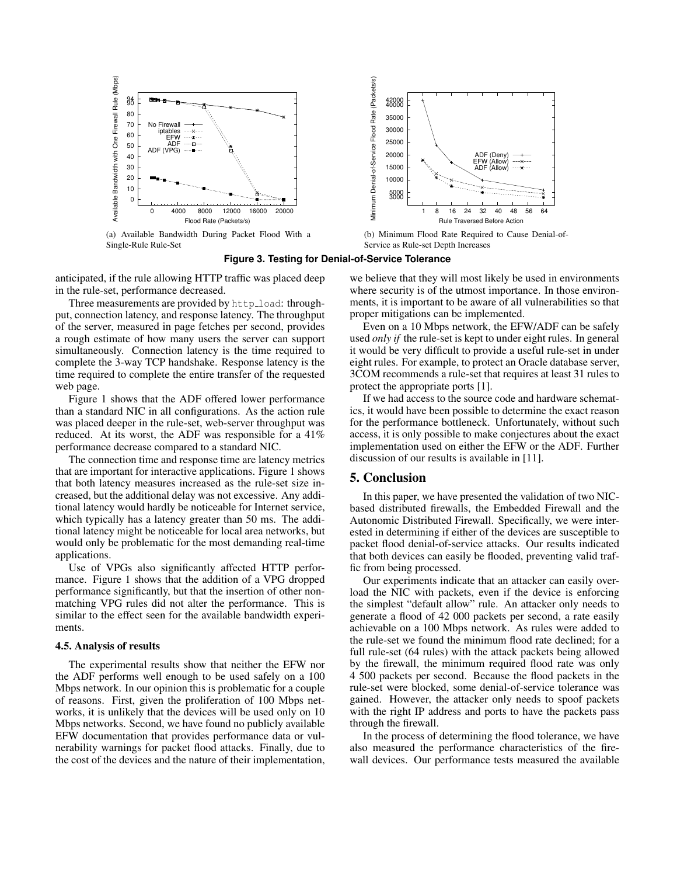

(a) Available Bandwidth During Packet Flood With a Single-Rule Rule-Set



(b) Minimum Flood Rate Required to Cause Denial-of-Service as Rule-set Depth Increases

**Figure 3. Testing for Denial-of-Service Tolerance**

anticipated, if the rule allowing HTTP traffic was placed deep in the rule-set, performance decreased.

Three measurements are provided by http\_load: throughput, connection latency, and response latency. The throughput of the server, measured in page fetches per second, provides a rough estimate of how many users the server can support simultaneously. Connection latency is the time required to complete the 3-way TCP handshake. Response latency is the time required to complete the entire transfer of the requested web page.

Figure 1 shows that the ADF offered lower performance than a standard NIC in all configurations. As the action rule was placed deeper in the rule-set, web-server throughput was reduced. At its worst, the ADF was responsible for a 41% performance decrease compared to a standard NIC.

The connection time and response time are latency metrics that are important for interactive applications. Figure 1 shows that both latency measures increased as the rule-set size increased, but the additional delay was not excessive. Any additional latency would hardly be noticeable for Internet service, which typically has a latency greater than 50 ms. The additional latency might be noticeable for local area networks, but would only be problematic for the most demanding real-time applications.

Use of VPGs also significantly affected HTTP performance. Figure 1 shows that the addition of a VPG dropped performance significantly, but that the insertion of other nonmatching VPG rules did not alter the performance. This is similar to the effect seen for the available bandwidth experiments.

### **4.5. Analysis of results**

The experimental results show that neither the EFW nor the ADF performs well enough to be used safely on a 100 Mbps network. In our opinion this is problematic for a couple of reasons. First, given the proliferation of 100 Mbps networks, it is unlikely that the devices will be used only on 10 Mbps networks. Second, we have found no publicly available EFW documentation that provides performance data or vulnerability warnings for packet flood attacks. Finally, due to the cost of the devices and the nature of their implementation, we believe that they will most likely be used in environments where security is of the utmost importance. In those environments, it is important to be aware of all vulnerabilities so that proper mitigations can be implemented.

Even on a 10 Mbps network, the EFW/ADF can be safely used *only if* the rule-set is kept to under eight rules. In general it would be very difficult to provide a useful rule-set in under eight rules. For example, to protect an Oracle database server, 3COM recommends a rule-set that requires at least 31 rules to protect the appropriate ports [1].

If we had access to the source code and hardware schematics, it would have been possible to determine the exact reason for the performance bottleneck. Unfortunately, without such access, it is only possible to make conjectures about the exact implementation used on either the EFW or the ADF. Further discussion of our results is available in [11].

### **5. Conclusion**

In this paper, we have presented the validation of two NICbased distributed firewalls, the Embedded Firewall and the Autonomic Distributed Firewall. Specifically, we were interested in determining if either of the devices are susceptible to packet flood denial-of-service attacks. Our results indicated that both devices can easily be flooded, preventing valid traffic from being processed.

Our experiments indicate that an attacker can easily overload the NIC with packets, even if the device is enforcing the simplest "default allow" rule. An attacker only needs to generate a flood of 42 000 packets per second, a rate easily achievable on a 100 Mbps network. As rules were added to the rule-set we found the minimum flood rate declined; for a full rule-set (64 rules) with the attack packets being allowed by the firewall, the minimum required flood rate was only 4 500 packets per second. Because the flood packets in the rule-set were blocked, some denial-of-service tolerance was gained. However, the attacker only needs to spoof packets with the right IP address and ports to have the packets pass through the firewall.

In the process of determining the flood tolerance, we have also measured the performance characteristics of the firewall devices. Our performance tests measured the available